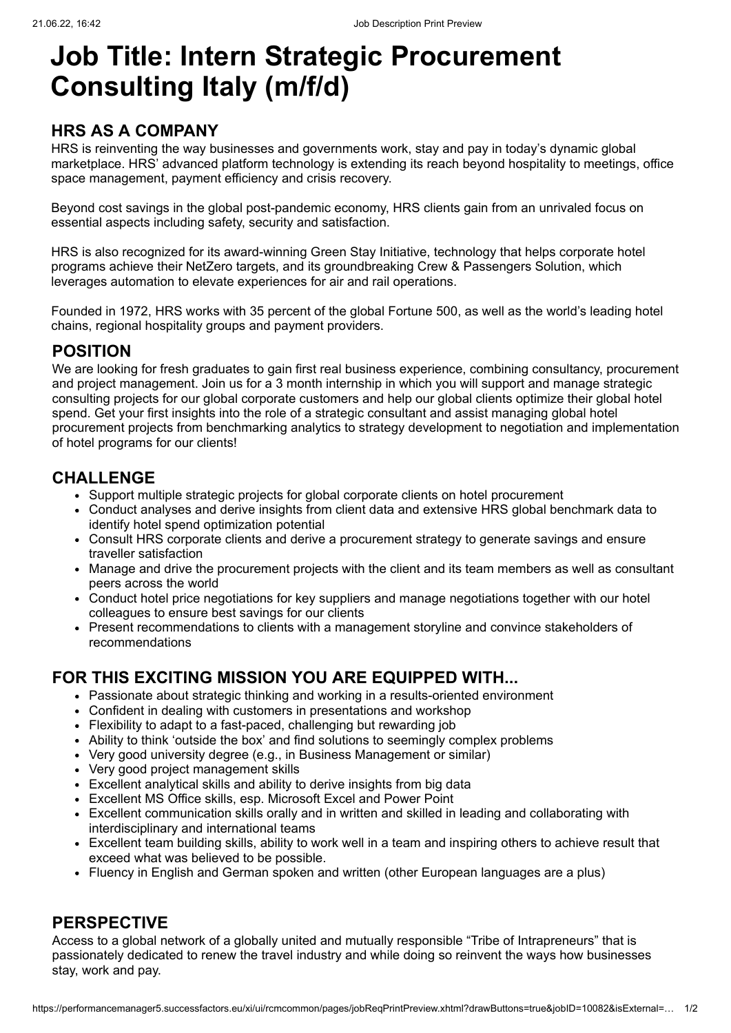# **Job Title: Intern Strategic Procurement Consulting Italy (m/f/d)**

## **HRS AS A COMPANY**

HRS is reinventing the way businesses and governments work, stay and pay in today's dynamic global marketplace. HRS' advanced platform technology is extending its reach beyond hospitality to meetings, office space management, payment efficiency and crisis recovery.

Beyond cost savings in the global post-pandemic economy, HRS clients gain from an unrivaled focus on essential aspects including safety, security and satisfaction.

HRS is also recognized for its [award-winning Green Stay Initiative,](javascript:void(0);) technology that helps corporate hotel programs achieve their NetZero targets, and its groundbreaking Crew & Passengers Solution, which leverages automation to elevate experiences for air and rail operations.

Founded in 1972, HRS works with 35 percent of the global Fortune 500, as well as the world's leading hotel chains, regional hospitality groups and payment providers.

### **POSITION**

We are looking for fresh graduates to gain first real business experience, combining consultancy, procurement and project management. Join us for a 3 month internship in which you will support and manage strategic consulting projects for our global corporate customers and help our global clients optimize their global hotel spend. Get your first insights into the role of a strategic consultant and assist managing global hotel procurement projects from benchmarking analytics to strategy development to negotiation and implementation of hotel programs for our clients!

### **CHALLENGE**

- Support multiple strategic projects for global corporate clients on hotel procurement
- Conduct analyses and derive insights from client data and extensive HRS global benchmark data to identify hotel spend optimization potential
- Consult HRS corporate clients and derive a procurement strategy to generate savings and ensure traveller satisfaction
- Manage and drive the procurement projects with the client and its team members as well as consultant peers across the world
- Conduct hotel price negotiations for key suppliers and manage negotiations together with our hotel colleagues to ensure best savings for our clients
- Present recommendations to clients with a management storyline and convince stakeholders of recommendations

## **FOR THIS EXCITING MISSION YOU ARE EQUIPPED WITH...**

- Passionate about strategic thinking and working in a results-oriented environment
- Confident in dealing with customers in presentations and workshop
- Flexibility to adapt to a fast-paced, challenging but rewarding job
- Ability to think 'outside the box' and find solutions to seemingly complex problems
- Very good university degree (e.g., in Business Management or similar)
- Very good project management skills
- Excellent analytical skills and ability to derive insights from big data
- Excellent MS Office skills, esp. Microsoft Excel and Power Point
- Excellent communication skills orally and in written and skilled in leading and collaborating with interdisciplinary and international teams
- Excellent team building skills, ability to work well in a team and inspiring others to achieve result that exceed what was believed to be possible.
- Fluency in English and German spoken and written (other European languages are a plus)

#### **PERSPECTIVE**

Access to a global network of a globally united and mutually responsible "Tribe of Intrapreneurs" that is passionately dedicated to renew the travel industry and while doing so reinvent the ways how businesses stay, work and pay.